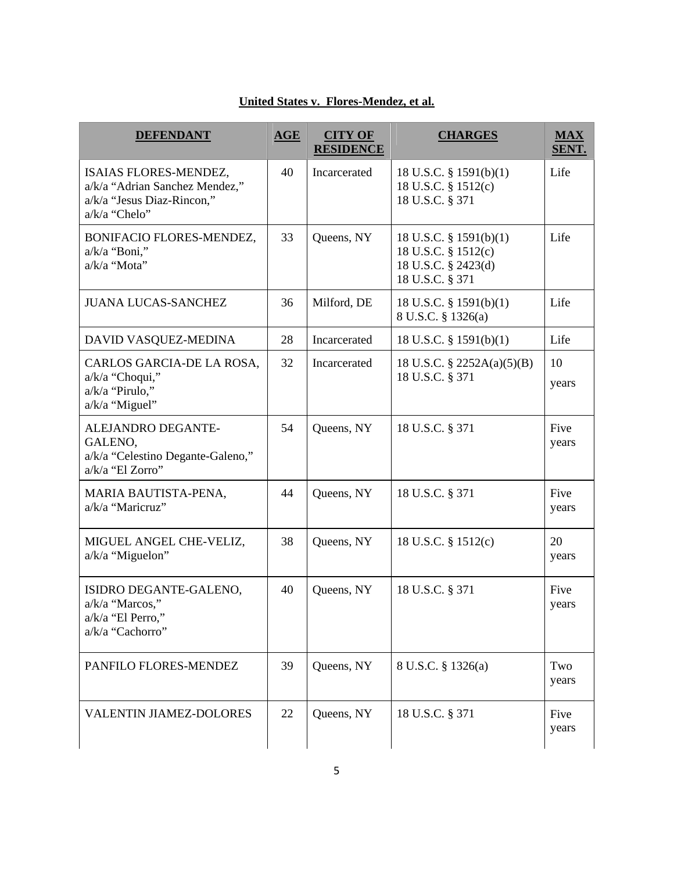## **United States v. Flores-Mendez, et al.**

| <b>DEFENDANT</b>                                                                                       | $\overline{\text{AGE}}$ | <b>CITY OF</b><br><b>RESIDENCE</b> | <b>CHARGES</b>                                                                             | $MAX$<br>SENT. |
|--------------------------------------------------------------------------------------------------------|-------------------------|------------------------------------|--------------------------------------------------------------------------------------------|----------------|
| ISAIAS FLORES-MENDEZ,<br>a/k/a "Adrian Sanchez Mendez,"<br>a/k/a "Jesus Diaz-Rincon,"<br>a/k/a "Chelo" | 40                      | Incarcerated                       | 18 U.S.C. $\S$ 1591(b)(1)<br>18 U.S.C. § 1512(c)<br>18 U.S.C. § 371                        | Life           |
| BONIFACIO FLORES-MENDEZ,<br>a/k/a "Boni,"<br>a/k/a "Mota"                                              | 33                      | Queens, NY                         | 18 U.S.C. $\S$ 1591(b)(1)<br>18 U.S.C. § 1512(c)<br>18 U.S.C. § 2423(d)<br>18 U.S.C. § 371 | Life           |
| <b>JUANA LUCAS-SANCHEZ</b>                                                                             | 36                      | Milford, DE                        | 18 U.S.C. $\S$ 1591(b)(1)<br>8 U.S.C. § 1326(a)                                            | Life           |
| DAVID VASQUEZ-MEDINA                                                                                   | 28                      | Incarcerated                       | 18 U.S.C. $\S$ 1591(b)(1)                                                                  | Life           |
| CARLOS GARCIA-DE LA ROSA.<br>a/k/a "Choqui,"<br>a/k/a "Pirulo,"<br>a/k/a "Miguel"                      | 32                      | Incarcerated                       | 18 U.S.C. § 2252A(a)(5)(B)<br>18 U.S.C. § 371                                              | 10<br>years    |
| ALEJANDRO DEGANTE-<br>GALENO,<br>a/k/a "Celestino Degante-Galeno,"<br>a/k/a "El Zorro"                 | 54                      | Queens, NY                         | 18 U.S.C. § 371                                                                            | Five<br>years  |
| MARIA BAUTISTA-PENA,<br>a/k/a "Maricruz"                                                               | 44                      | Queens, NY                         | 18 U.S.C. § 371                                                                            | Five<br>years  |
| MIGUEL ANGEL CHE-VELIZ,<br>a/k/a "Miguelon"                                                            | 38                      | Queens, NY                         | 18 U.S.C. § 1512(c)                                                                        | 20<br>years    |
| ISIDRO DEGANTE-GALENO,<br>a/k/a "Marcos,"<br>a/k/a "El Perro,"<br>a/k/a "Cachorro"                     | 40                      | Queens, NY                         | 18 U.S.C. § 371                                                                            | Five<br>years  |
| PANFILO FLORES-MENDEZ                                                                                  | 39                      | Queens, NY                         | 8 U.S.C. § 1326(a)                                                                         | Two<br>years   |
| <b>VALENTIN JIAMEZ-DOLORES</b>                                                                         | 22                      | Queens, NY                         | 18 U.S.C. § 371                                                                            | Five<br>years  |